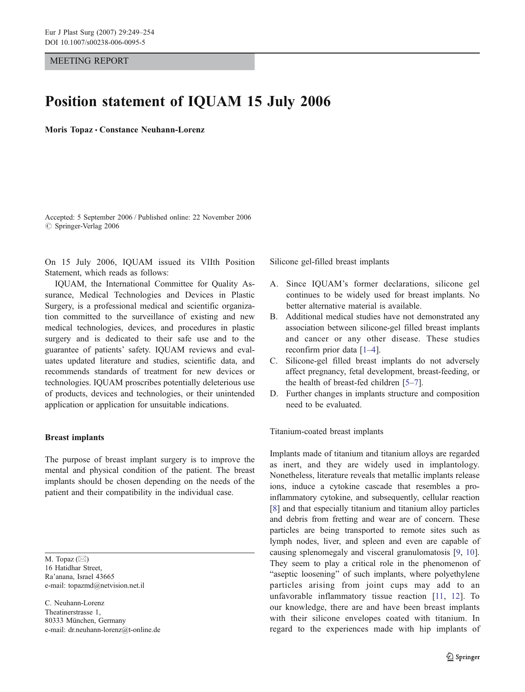MEETING REPORT

# Position statement of IQUAM 15 July 2006

Moris Topaz · Constance Neuhann-Lorenz

Accepted: 5 September 2006 / Published online: 22 November 2006  $\circ$  Springer-Verlag 2006

On 15 July 2006, IQUAM issued its VIIth Position Statement, which reads as follows:

IQUAM, the International Committee for Quality Assurance, Medical Technologies and Devices in Plastic Surgery, is a professional medical and scientific organization committed to the surveillance of existing and new medical technologies, devices, and procedures in plastic surgery and is dedicated to their safe use and to the guarantee of patients' safety. IQUAM reviews and evaluates updated literature and studies, scientific data, and recommends standards of treatment for new devices or technologies. IQUAM proscribes potentially deleterious use of products, devices and technologies, or their unintended application or application for unsuitable indications.

### Breast implants

The purpose of breast implant surgery is to improve the mental and physical condition of the patient. The breast implants should be chosen depending on the needs of the patient and their compatibility in the individual case.

M. Topaz  $(\boxtimes)$ 16 Hatidhar Street, Ra'anana, Israel 43665 e-mail: topazmd@netvision.net.il

C. Neuhann-Lorenz Theatinerstrasse 1, 80333 München, Germany e-mail: dr.neuhann-lorenz@t-online.de Silicone gel-filled breast implants

- A. Since IQUAM's former declarations, silicone gel continues to be widely used for breast implants. No better alternative material is available.
- B. Additional medical studies have not demonstrated any association between silicone-gel filled breast implants and cancer or any other disease. These studies reconfirm prior data [[1](#page-3-0)–[4\]](#page-3-0).
- C. Silicone-gel filled breast implants do not adversely affect pregnancy, fetal development, breast-feeding, or the health of breast-fed children [[5](#page-3-0)–[7\]](#page-3-0).
- D. Further changes in implants structure and composition need to be evaluated.

Titanium-coated breast implants

Implants made of titanium and titanium alloys are regarded as inert, and they are widely used in implantology. Nonetheless, literature reveals that metallic implants release ions, induce a cytokine cascade that resembles a proinflammatory cytokine, and subsequently, cellular reaction [\[8](#page-3-0)] and that especially titanium and titanium alloy particles and debris from fretting and wear are of concern. These particles are being transported to remote sites such as lymph nodes, liver, and spleen and even are capable of causing splenomegaly and visceral granulomatosis [[9,](#page-3-0) [10\]](#page-3-0). They seem to play a critical role in the phenomenon of "aseptic loosening" of such implants, where polyethylene particles arising from joint cups may add to an unfavorable inflammatory tissue reaction [[11,](#page-3-0) [12](#page-3-0)]. To our knowledge, there are and have been breast implants with their silicone envelopes coated with titanium. In regard to the experiences made with hip implants of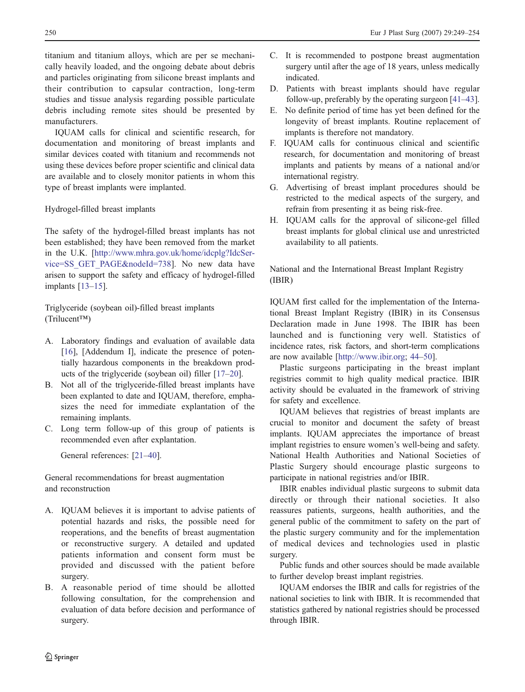titanium and titanium alloys, which are per se mechanically heavily loaded, and the ongoing debate about debris and particles originating from silicone breast implants and their contribution to capsular contraction, long-term studies and tissue analysis regarding possible particulate debris including remote sites should be presented by manufacturers.

IQUAM calls for clinical and scientific research, for documentation and monitoring of breast implants and similar devices coated with titanium and recommends not using these devices before proper scientific and clinical data are available and to closely monitor patients in whom this type of breast implants were implanted.

## Hydrogel-filled breast implants

The safety of the hydrogel-filled breast implants has not been established; they have been removed from the market in the U.K. [\[http://www.mhra.gov.uk/home/idcplg?IdcSer](http://www.mhra.gov.uk/home/idcplg?IdcService=SS_GET_PAGE&nodeId=738)[vice=SS\\_GET\\_PAGE&nodeId=738](http://www.mhra.gov.uk/home/idcplg?IdcService=SS_GET_PAGE&nodeId=738)]. No new data have arisen to support the safety and efficacy of hydrogel-filled implants [[13](#page-3-0)–[15\]](#page-3-0).

Triglyceride (soybean oil)-filled breast implants (Trilucent™)

- A. Laboratory findings and evaluation of available data [[16\]](#page-3-0), [Addendum I], indicate the presence of potentially hazardous components in the breakdown products of the triglyceride (soybean oil) filler [[17](#page-3-0)–[20\]](#page-3-0).
- B. Not all of the triglyceride-filled breast implants have been explanted to date and IQUAM, therefore, emphasizes the need for immediate explantation of the remaining implants.
- C. Long term follow-up of this group of patients is recommended even after explantation.

General references: [[21](#page-3-0)–[40\]](#page-4-0).

General recommendations for breast augmentation and reconstruction

- A. IQUAM believes it is important to advise patients of potential hazards and risks, the possible need for reoperations, and the benefits of breast augmentation or reconstructive surgery. A detailed and updated patients information and consent form must be provided and discussed with the patient before surgery.
- B. A reasonable period of time should be allotted following consultation, for the comprehension and evaluation of data before decision and performance of surgery.
- C. It is recommended to postpone breast augmentation surgery until after the age of 18 years, unless medically indicated.
- D. Patients with breast implants should have regular follow-up, preferably by the operating surgeon [[41](#page-4-0)–[43\]](#page-4-0).
- E. No definite period of time has yet been defined for the longevity of breast implants. Routine replacement of implants is therefore not mandatory.
- F. IQUAM calls for continuous clinical and scientific research, for documentation and monitoring of breast implants and patients by means of a national and/or international registry.
- G. Advertising of breast implant procedures should be restricted to the medical aspects of the surgery, and refrain from presenting it as being risk-free.
- H. IQUAM calls for the approval of silicone-gel filled breast implants for global clinical use and unrestricted availability to all patients.

National and the International Breast Implant Registry (IBIR)

IQUAM first called for the implementation of the International Breast Implant Registry (IBIR) in its Consensus Declaration made in June 1998. The IBIR has been launched and is functioning very well. Statistics of incidence rates, risk factors, and short-term complications are now available [<http://www.ibir.org>; [44](#page-4-0)–[50](#page-4-0)].

Plastic surgeons participating in the breast implant registries commit to high quality medical practice. IBIR activity should be evaluated in the framework of striving for safety and excellence.

IQUAM believes that registries of breast implants are crucial to monitor and document the safety of breast implants. IQUAM appreciates the importance of breast implant registries to ensure women's well-being and safety. National Health Authorities and National Societies of Plastic Surgery should encourage plastic surgeons to participate in national registries and/or IBIR.

IBIR enables individual plastic surgeons to submit data directly or through their national societies. It also reassures patients, surgeons, health authorities, and the general public of the commitment to safety on the part of the plastic surgery community and for the implementation of medical devices and technologies used in plastic surgery.

Public funds and other sources should be made available to further develop breast implant registries.

IQUAM endorses the IBIR and calls for registries of the national societies to link with IBIR. It is recommended that statistics gathered by national registries should be processed through IBIR.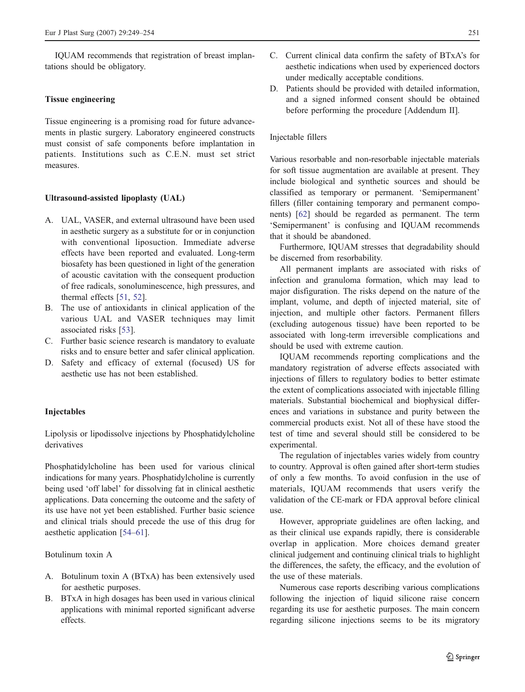IQUAM recommends that registration of breast implantations should be obligatory.

### Tissue engineering

Tissue engineering is a promising road for future advancements in plastic surgery. Laboratory engineered constructs must consist of safe components before implantation in patients. Institutions such as C.E.N. must set strict measures.

### Ultrasound-assisted lipoplasty (UAL)

- A. UAL, VASER, and external ultrasound have been used in aesthetic surgery as a substitute for or in conjunction with conventional liposuction. Immediate adverse effects have been reported and evaluated. Long-term biosafety has been questioned in light of the generation of acoustic cavitation with the consequent production of free radicals, sonoluminescence, high pressures, and thermal effects [\[51](#page-4-0), [52](#page-4-0)].
- B. The use of antioxidants in clinical application of the various UAL and VASER techniques may limit associated risks [[53\]](#page-4-0).
- C. Further basic science research is mandatory to evaluate risks and to ensure better and safer clinical application.
- D. Safety and efficacy of external (focused) US for aesthetic use has not been established.

#### Injectables

Lipolysis or lipodissolve injections by Phosphatidylcholine derivatives

Phosphatidylcholine has been used for various clinical indications for many years. Phosphatidylcholine is currently being used 'off label' for dissolving fat in clinical aesthetic applications. Data concerning the outcome and the safety of its use have not yet been established. Further basic science and clinical trials should precede the use of this drug for aesthetic application [\[54](#page-4-0)–[61](#page-4-0)].

#### Botulinum toxin A

- A. Botulinum toxin A (BTxA) has been extensively used for aesthetic purposes.
- B. BTxA in high dosages has been used in various clinical applications with minimal reported significant adverse effects.
- C. Current clinical data confirm the safety of BTxA's for aesthetic indications when used by experienced doctors under medically acceptable conditions.
- D. Patients should be provided with detailed information, and a signed informed consent should be obtained before performing the procedure [Addendum II].

#### Injectable fillers

Various resorbable and non-resorbable injectable materials for soft tissue augmentation are available at present. They include biological and synthetic sources and should be classified as temporary or permanent. 'Semipermanent' fillers (filler containing temporary and permanent components) [[62\]](#page-4-0) should be regarded as permanent. The term 'Semipermanent' is confusing and IQUAM recommends that it should be abandoned.

Furthermore, IQUAM stresses that degradability should be discerned from resorbability.

All permanent implants are associated with risks of infection and granuloma formation, which may lead to major disfiguration. The risks depend on the nature of the implant, volume, and depth of injected material, site of injection, and multiple other factors. Permanent fillers (excluding autogenous tissue) have been reported to be associated with long-term irreversible complications and should be used with extreme caution.

IQUAM recommends reporting complications and the mandatory registration of adverse effects associated with injections of fillers to regulatory bodies to better estimate the extent of complications associated with injectable filling materials. Substantial biochemical and biophysical differences and variations in substance and purity between the commercial products exist. Not all of these have stood the test of time and several should still be considered to be experimental.

The regulation of injectables varies widely from country to country. Approval is often gained after short-term studies of only a few months. To avoid confusion in the use of materials, IQUAM recommends that users verify the validation of the CE-mark or FDA approval before clinical use.

However, appropriate guidelines are often lacking, and as their clinical use expands rapidly, there is considerable overlap in application. More choices demand greater clinical judgement and continuing clinical trials to highlight the differences, the safety, the efficacy, and the evolution of the use of these materials.

Numerous case reports describing various complications following the injection of liquid silicone raise concern regarding its use for aesthetic purposes. The main concern regarding silicone injections seems to be its migratory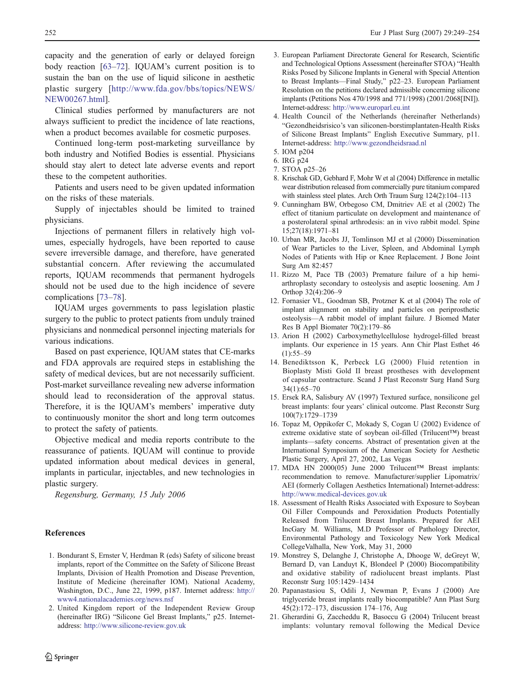<span id="page-3-0"></span>capacity and the generation of early or delayed foreign body reaction [[63](#page-4-0)–[72\]](#page-5-0). IQUAM's current position is to sustain the ban on the use of liquid silicone in aesthetic plastic surgery [[http://www.fda.gov/bbs/topics/NEWS/](http://www.fda.gov/bbs/topics/NEWS/NEW00267.html) [NEW00267.html](http://www.fda.gov/bbs/topics/NEWS/NEW00267.html)].

Clinical studies performed by manufacturers are not always sufficient to predict the incidence of late reactions, when a product becomes available for cosmetic purposes.

Continued long-term post-marketing surveillance by both industry and Notified Bodies is essential. Physicians should stay alert to detect late adverse events and report these to the competent authorities.

Patients and users need to be given updated information on the risks of these materials.

Supply of injectables should be limited to trained physicians.

Injections of permanent fillers in relatively high volumes, especially hydrogels, have been reported to cause severe irreversible damage, and therefore, have generated substantial concern. After reviewing the accumulated reports, IQUAM recommends that permanent hydrogels should not be used due to the high incidence of severe complications [[73](#page-5-0)–[78\]](#page-5-0).

IQUAM urges governments to pass legislation plastic surgery to the public to protect patients from unduly trained physicians and nonmedical personnel injecting materials for various indications.

Based on past experience, IQUAM states that CE-marks and FDA approvals are required steps in establishing the safety of medical devices, but are not necessarily sufficient. Post-market surveillance revealing new adverse information should lead to reconsideration of the approval status. Therefore, it is the IQUAM's members' imperative duty to continuously monitor the short and long term outcomes to protect the safety of patients.

Objective medical and media reports contribute to the reassurance of patients. IQUAM will continue to provide updated information about medical devices in general, implants in particular, injectables, and new technologies in plastic surgery.

Regensburg, Germany, 15 July 2006

#### References

- 1. Bondurant S, Ernster V, Herdman R (eds) Safety of silicone breast implants, report of the Committee on the Safety of Silicone Breast Implants, Division of Health Promotion and Disease Prevention, Institute of Medicine (hereinafter IOM). National Academy, Washington, D.C., June 22, 1999, p187. Internet address: [http://](http://www4.nationalacademies.org/news.nsf) [www4.nationalacademies.org/news.nsf](http://www4.nationalacademies.org/news.nsf)
- 2. United Kingdom report of the Independent Review Group (hereinafter IRG) "Silicone Gel Breast Implants," p25. Internetaddress: <http://www.silicone-review.gov.uk>
- 3. European Parliament Directorate General for Research, Scientific and Technological Options Assessment (hereinafter STOA) "Health Risks Posed by Silicone Implants in General with Special Attention to Breast Implants—Final Study," p22–23. European Parliament Resolution on the petitions declared admissible concerning silicone implants (Petitions Nos 470/1998 and 771/1998) (2001/2068[INI]). Internet-address: <http://www.europarl.eu.int>
- 4. Health Council of the Netherlands (hereinafter Netherlands) "Gezondheidsrisico's van siliconen-borstimplantaten-Health Risks of Silicone Breast Implants" English Executive Summary, p11. Internet-address: <http://www.gezondheidsraad.nl>
- 5. IOM p204
- 6. IRG p24
- 7. STOA p25–26
- 8. Krischak GD, Gebhard F, Mohr W et al (2004) Difference in metallic wear distribution released from commercially pure titanium compared with stainless steel plates. Arch Orth Traum Surg 124(2):104–113
- 9. Cunningham BW, Orbegoso CM, Dmitriev AE et al (2002) The effect of titanium particulate on development and maintenance of a posterolateral spinal arthrodesis: an in vivo rabbit model. Spine 15;27(18):1971–81
- 10. Urban MR, Jacobs JJ, Tomlinson MJ et al (2000) Dissemination of Wear Particles to the Liver, Spleen, and Abdominal Lymph Nodes of Patients with Hip or Knee Replacement. J Bone Joint Surg Am 82:457
- 11. Rizzo M, Pace TB (2003) Premature failure of a hip hemiarthroplasty secondary to osteolysis and aseptic loosening. Am J Orthop 32(4):206–9
- 12. Fornasier VL, Goodman SB, Protzner K et al (2004) The role of implant alignment on stability and particles on periprosthetic osteolysis—A rabbit model of implant failure. J Biomed Mater Res B Appl Biomater 70(2):179–86
- 13. Arion H (2002) Carboxymethylcellulose hydrogel-filled breast implants. Our experience in 15 years. Ann Chir Plast Esthet 46  $(1):55-59$
- 14. Benediktsson K, Perbeck LG (2000) Fluid retention in Bioplasty Misti Gold II breast prostheses with development of capsular contracture. Scand J Plast Reconstr Surg Hand Surg 34(1):65–70
- 15. Ersek RA, Salisbury AV (1997) Textured surface, nonsilicone gel breast implants: four years' clinical outcome. Plast Reconstr Surg 100(7):1729–1739
- 16. Topaz M, Oppikofer C, Mokady S, Cogan U (2002) Evidence of extreme oxidative state of soybean oil-filled (Trilucent™) breast implants—safety concerns. Abstract of presentation given at the International Symposium of the American Society for Aesthetic Plastic Surgery, April 27, 2002, Las Vegas
- 17. MDA HN 2000(05) June 2000 Trilucent™ Breast implants: recommendation to remove. Manufacturer/supplier Lipomatrix/ AEI (formerly Collagen Aesthetics International) Internet-address: <http://www.medical-devices.gov.uk>
- 18. Assessment of Health Risks Associated with Exposure to Soybean Oil Filler Compounds and Peroxidation Products Potentially Released from Trilucent Breast Implants. Prepared for AEI IncGary M. Williams, M.D Professor of Pathology Director, Environmental Pathology and Toxicology New York Medical CollegeValhalla, New York, May 31, 2000
- 19. Monstrey S, Delanghe J, Christophe A, Dhooge W, deGreyt W, Bernard D, van Landuyt K, Blondeel P (2000) Biocompatibility and oxidative stability of radiolucent breast implants. Plast Reconstr Surg 105:1429–1434
- 20. Papanastasiou S, Odili J, Newman P, Evans J (2000) Are triglyceride breast implants really biocompatible? Ann Plast Surg 45(2):172–173, discussion 174–176, Aug
- 21. Gherardini G, Zaccheddu R, Basoccu G (2004) Trilucent breast implants: voluntary removal following the Medical Device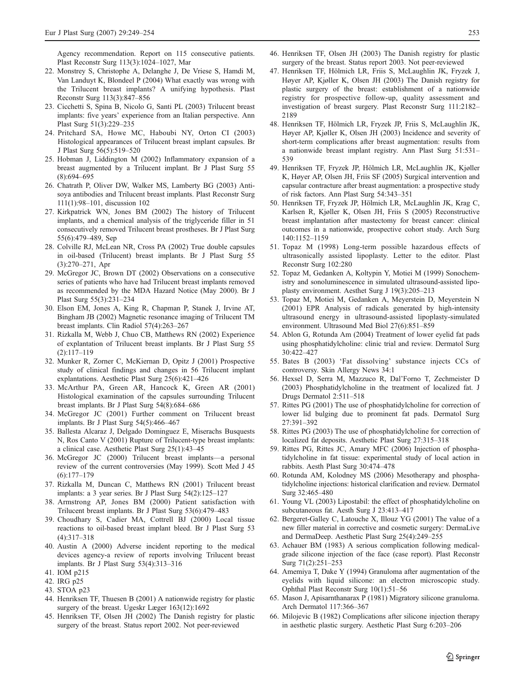<span id="page-4-0"></span>Agency recommendation. Report on 115 consecutive patients. Plast Reconstr Surg 113(3):1024–1027, Mar

- 22. Monstrey S, Christophe A, Delanghe J, De Vriese S, Hamdi M, Van Landuyt K, Blondeel P (2004) What exactly was wrong with the Trilucent breast implants? A unifying hypothesis. Plast Reconstr Surg 113(3):847–856
- 23. Cicchetti S, Spina B, Nicolo G, Santi PL (2003) Trilucent breast implants: five years' experience from an Italian perspective. Ann Plast Surg 51(3):229–235
- 24. Pritchard SA, Howe MC, Haboubi NY, Orton CI (2003) Histological appearances of Trilucent breast implant capsules. Br J Plast Surg 56(5):519–520
- 25. Hobman J, Liddington M (2002) Inflammatory expansion of a breast augmented by a Trilucent implant. Br J Plast Surg 55 (8):694–695
- 26. Chatrath P, Oliver DW, Walker MS, Lamberty BG (2003) Antisoya antibodies and Trilucent breast implants. Plast Reconstr Surg 111(1):98–101, discussion 102
- 27. Kirkpatrick WN, Jones BM (2002) The history of Trilucent implants, and a chemical analysis of the triglyceride filler in 51 consecutively removed Trilucent breast prostheses. Br J Plast Surg 55(6):479–489, Sep
- 28. Colville RJ, McLean NR, Cross PA (2002) True double capsules in oil-based (Trilucent) breast implants. Br J Plast Surg 55 (3):270–271, Apr
- 29. McGregor JC, Brown DT (2002) Observations on a consecutive series of patients who have had Trilucent breast implants removed as recommended by the MDA Hazard Notice (May 2000). Br J Plast Surg 55(3):231–234
- 30. Elson EM, Jones A, King R, Chapman P, Stanek J, Irvine AT, Bingham JB (2002) Magnetic resonance imaging of Trilucent TM breast implants. Clin Radiol 57(4):263–267
- 31. Rizkalla M, Webb J, Chuo CB, Matthews RN (2002) Experience of explantation of Trilucent breast implants. Br J Plast Surg 55 (2):117–119
- 32. Munker R, Zorner C, McKiernan D, Opitz J (2001) Prospective study of clinical findings and changes in 56 Trilucent implant explantations. Aesthetic Plast Surg 25(6):421–426
- 33. McArthur PA, Green AR, Hancock K, Green AR (2001) Histological examination of the capsules surrounding Trilucent breast implants. Br J Plast Surg 54(8):684–686
- 34. McGregor JC (2001) Further comment on Trilucent breast implants. Br J Plast Surg 54(5):466–467
- 35. Ballesta Alcaraz J, Delgado Dominguez E, Miserachs Busquests N, Ros Canto V (2001) Rupture of Trilucent-type breast implants: a clinical case. Aesthetic Plast Surg 25(1):43–45
- 36. McGregor JC (2000) Trilucent breast implants—a personal review of the current controversies (May 1999). Scott Med J 45 (6):177–179
- 37. Rizkalla M, Duncan C, Matthews RN (2001) Trilucent breast implants: a 3 year series. Br J Plast Surg 54(2):125–127
- 38. Armstrong AP, Jones BM (2000) Patient satisfaction with Trilucent breast implants. Br J Plast Surg 53(6):479–483
- 39. Choudhary S, Cadier MA, Cottrell BJ (2000) Local tissue reactions to oil-based breast implant bleed. Br J Plast Surg 53 (4):317–318
- 40. Austin A (2000) Adverse incident reporting to the medical devices agency-a review of reports involving Trilucent breast implants. Br J Plast Surg 53(4):313–316
- 41. IOM p215
- 42. IRG p25
- 43. STOA p23
- 44. Henriksen TF, Thuesen B (2001) A nationwide registry for plastic surgery of the breast. Ugeskr Læger 163(12):1692
- 45. Henriksen TF, Olsen JH (2002) The Danish registry for plastic surgery of the breast. Status report 2002. Not peer-reviewed
- 46. Henriksen TF, Olsen JH (2003) The Danish registry for plastic surgery of the breast. Status report 2003. Not peer-reviewed
- 47. Henriksen TF, Hölmich LR, Friis S, McLaughlin JK, Fryzek J, Høyer AP, Kjøller K, Olsen JH (2003) The Danish registry for plastic surgery of the breast: establishment of a nationwide registry for prospective follow-up, quality assessment and investigation of breast surgery. Plast Reconstr Surg 111:2182– 2189
- 48. Henriksen TF, Hölmich LR, Fryzek JP, Friis S, McLaughlin JK, Høyer AP, Kjøller K, Olsen JH (2003) Incidence and severity of short-term complications after breast augmentation: results from a nationwide breast implant registry. Ann Plast Surg 51:531– 539
- 49. Henriksen TF, Fryzek JP, Hölmich LR, McLaughlin JK, Kjøller K, Høyer AP, Olsen JH, Friis SF (2005) Surgical intervention and capsular contracture after breast augmentation: a prospective study of risk factors. Ann Plast Surg 54:343–351
- 50. Henriksen TF, Fryzek JP, Hölmich LR, McLaughlin JK, Krag C, Karlsen R, Kjøller K, Olsen JH, Friis S (2005) Reconstructive breast implantation after mastectomy for breast cancer: clinical outcomes in a nationwide, prospective cohort study. Arch Surg 140:1152–1159
- 51. Topaz M (1998) Long-term possible hazardous effects of ultrasonically assisted lipoplasty. Letter to the editor. Plast Reconstr Surg 102:280
- 52. Topaz M, Gedanken A, Koltypin Y, Motiei M (1999) Sonochemistry and sonoluminescence in simulated ultrasound-assisted lipoplasty environment. Aesthet Surg J 19(3):205–213
- 53. Topaz M, Motiei M, Gedanken A, Meyerstein D, Meyerstein N (2001) EPR Analysis of radicals generated by high-intensity ultrasound energy in ultrasound-assisted lipoplasty-simulated environment. Ultrasound Med Biol 27(6):851–859
- 54. Ablon G, Rotunda Am (2004) Treatment of lower eyelid fat pads using phosphatidylcholine: clinic trial and review. Dermatol Surg 30:422–427
- 55. Bates B (2003) 'Fat dissolving' substance injects CCs of controversy. Skin Allergy News 34:1
- 56. Hexsel D, Serra M, Mazzuco R, Dal'Forno T, Zechmeister D (2003) Phosphatidylcholine in the treatment of localized fat. J Drugs Dermatol 2:511–518
- 57. Rittes PG (2001) The use of phosphatidylcholine for correction of lower lid bulging due to prominent fat pads. Dermatol Surg 27:391–392
- 58. Rittes PG (2003) The use of phosphatidylcholine for correction of localized fat deposits. Aesthetic Plast Surg 27:315–318
- 59. Rittes PG, Rittes JC, Amary MFC (2006) Injection of phosphatidylcholine in fat tissue: experimental study of local action in rabbits. Aesth Plast Surg 30:474–478
- 60. Rotunda AM, Kolodney MS (2006) Mesotherapy and phosphatidylcholine injections: historical clarification and review. Dermatol Surg 32:465–480
- 61. Young VL (2003) Lipostabil: the effect of phosphatidylcholine on subcutaneous fat. Aesth Surg J 23:413–417
- 62. Bergeret-Galley C, Latouche X, Illouz YG (2001) The value of a new filler material in corrective and cosmetic surgery: DermaLive and DermaDeep. Aesthetic Plast Surg 25(4):249–255
- 63. Achauer BM (1983) A serious complication following medicalgrade silicone injection of the face (case report). Plast Reconstr Surg 71(2):251–253
- 64. Amemiya T, Dake Y (1994) Granuloma after augmentation of the eyelids with liquid silicone: an electron microscopic study. Ophthal Plast Reconstr Surg 10(1):51–56
- 65. Mason J, Apisarnthanarax P (1981) Migratory silicone granuloma. Arch Dermatol 117:366–367
- 66. Milojevic B (1982) Complications after silicone injection therapy in aesthetic plastic surgery. Aesthetic Plast Surg 6:203–206